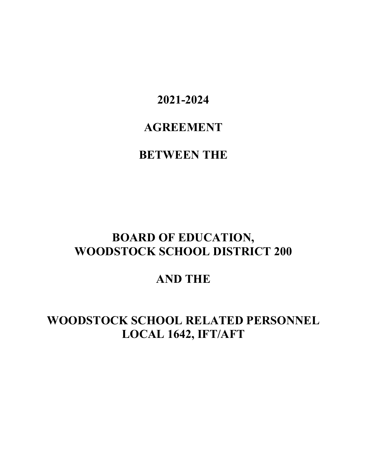**2021-2024** 

# **AGREEMENT**

# **BETWEEN THE**

# **BOARD OF EDUCATION, WOODSTOCK SCHOOL DISTRICT 200**

**AND THE** 

# **WOODSTOCK SCHOOL RELATED PERSONNEL LOCAL 1642, IFT/AFT**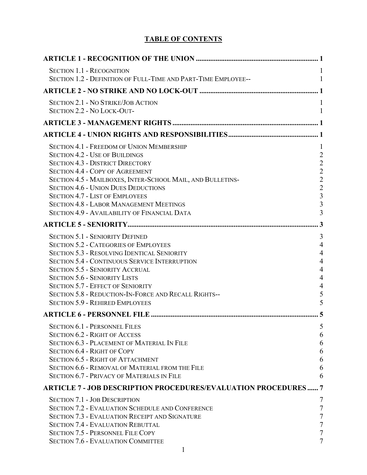# **TABLE OF CONTENTS**

| <b>SECTION 1.1 - RECOGNITION</b><br>SECTION 1.2 - DEFINITION OF FULL-TIME AND PART-TIME EMPLOYEE--                                                                                                                                                                                                                                                                                                                                   |                                                                                                                         |
|--------------------------------------------------------------------------------------------------------------------------------------------------------------------------------------------------------------------------------------------------------------------------------------------------------------------------------------------------------------------------------------------------------------------------------------|-------------------------------------------------------------------------------------------------------------------------|
|                                                                                                                                                                                                                                                                                                                                                                                                                                      |                                                                                                                         |
| <b>SECTION 2.1 - NO STRIKE/JOB ACTION</b><br>SECTION 2.2 - NO LOCK-OUT-                                                                                                                                                                                                                                                                                                                                                              |                                                                                                                         |
|                                                                                                                                                                                                                                                                                                                                                                                                                                      |                                                                                                                         |
|                                                                                                                                                                                                                                                                                                                                                                                                                                      |                                                                                                                         |
| <b>SECTION 4.1 - FREEDOM OF UNION MEMBERSHIP</b><br><b>SECTION 4.2 - USE OF BUILDINGS</b><br><b>SECTION 4.3 - DISTRICT DIRECTORY</b><br><b>SECTION 4.4 - COPY OF AGREEMENT</b><br>SECTION 4.5 - MAILBOXES, INTER-SCHOOL MAIL, AND BULLETINS-<br><b>SECTION 4.6 - UNION DUES DEDUCTIONS</b><br><b>SECTION 4.7 - LIST OF EMPLOYEES</b><br><b>SECTION 4.8 - LABOR MANAGEMENT MEETINGS</b>                                               | 1<br>$\overline{2}$<br>$\overline{2}$<br>$\overline{c}$<br>$\frac{2}{2}$<br>$\overline{\mathbf{3}}$<br>$\overline{3}$   |
| SECTION 4.9 - AVAILABILITY OF FINANCIAL DATA                                                                                                                                                                                                                                                                                                                                                                                         | $\overline{3}$                                                                                                          |
|                                                                                                                                                                                                                                                                                                                                                                                                                                      | 3                                                                                                                       |
| <b>SECTION 5.1 - SENIORITY DEFINED</b><br><b>SECTION 5.2 - CATEGORIES OF EMPLOYEES</b><br><b>SECTION 5.3 - RESOLVING IDENTICAL SENIORITY</b><br><b>SECTION 5.4 - CONTINUOUS SERVICE INTERRUPTION</b><br><b>SECTION 5.5 - SENIORITY ACCRUAL</b><br><b>SECTION 5.6 - SENIORITY LISTS</b><br><b>SECTION 5.7 - EFFECT OF SENIORITY</b><br>SECTION 5.8 - REDUCTION-IN-FORCE AND RECALL RIGHTS--<br><b>SECTION 5.9 - REHIRED EMPLOYEES</b> | $\mathfrak{Z}$<br>$\overline{4}$<br>$\overline{4}$<br>$\overline{4}$<br>$\overline{4}$<br>$\overline{4}$<br>4<br>5<br>5 |
|                                                                                                                                                                                                                                                                                                                                                                                                                                      |                                                                                                                         |
| <b>SECTION 6.1 - PERSONNEL FILES</b><br><b>SECTION 6.2 - RIGHT OF ACCESS</b><br><b>SECTION 6.3 - PLACEMENT OF MATERIAL IN FILE</b><br><b>SECTION 6.4 - RIGHT OF COPY</b><br><b>SECTION 6.5 - RIGHT OF ATTACHMENT</b><br>SECTION 6.6 - REMOVAL OF MATERIAL FROM THE FILE<br><b>SECTION 6.7 - PRIVACY OF MATERIALS IN FILE</b>                                                                                                         | 5<br>6<br>6<br>6<br>6<br>6<br>6                                                                                         |
| <b>ARTICLE 7 - JOB DESCRIPTION PROCEDURES/EVALUATION PROCEDURES 7</b>                                                                                                                                                                                                                                                                                                                                                                |                                                                                                                         |
| <b>SECTION 7.1 - JOB DESCRIPTION</b><br><b>SECTION 7.2 - EVALUATION SCHEDULE AND CONFERENCE</b><br><b>SECTION 7.3 - EVALUATION RECEIPT AND SIGNATURE</b><br><b>SECTION 7.4 - EVALUATION REBUTTAL</b><br><b>SECTION 7.5 - PERSONNEL FILE COPY</b><br><b>SECTION 7.6 - EVALUATION COMMITTEE</b>                                                                                                                                        |                                                                                                                         |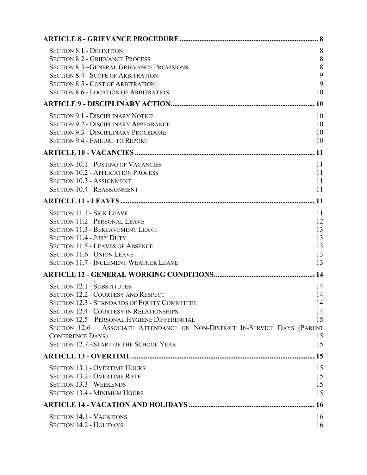| <b>SECTION 8.1 - DEFINITION</b><br><b>SECTION 8.2 - GRIEVANCE PROCESS</b><br><b>SECTION 8.3 - GENERAL GRIEVANCE PROVISIONS</b><br><b>SECTION 8.4 - SCOPE OF ARBITRATION</b><br><b>SECTION 8.5 - COST OF ARBITRATION</b><br><b>SECTION 8.6 - LOCATION OF ARBITRATION</b>                                                                                                                             | 8<br>8<br>8<br>9<br>9<br>10            |
|-----------------------------------------------------------------------------------------------------------------------------------------------------------------------------------------------------------------------------------------------------------------------------------------------------------------------------------------------------------------------------------------------------|----------------------------------------|
|                                                                                                                                                                                                                                                                                                                                                                                                     |                                        |
| <b>SECTION 9.1 - DISCIPLINARY NOTICE</b><br><b>SECTION 9.2 - DISCIPLINARY APPEARANCE</b><br><b>SECTION 9.3 - DISCIPLINARY PROCEDURE</b><br><b>SECTION 9.4 - FAILURE TO REPORT</b>                                                                                                                                                                                                                   | 10<br>10<br>10<br>10                   |
|                                                                                                                                                                                                                                                                                                                                                                                                     |                                        |
| <b>SECTION 10.1 - POSTING OF VACANCIES</b><br><b>SECTION 10.2 - APPLICATION PROCESS</b><br><b>SECTION 10.3 - ASSIGNMENT</b><br><b>SECTION 10.4 - REASSIGNMENT</b>                                                                                                                                                                                                                                   | 11<br>11<br>11<br>11                   |
|                                                                                                                                                                                                                                                                                                                                                                                                     |                                        |
| <b>SECTION 11.1 - SICK LEAVE</b><br><b>SECTION 11.2 - PERSONAL LEAVE</b><br><b>SECTION 11.3 - BEREAVEMENT LEAVE</b><br><b>SECTION 11.4 - JURY DUTY</b><br><b>SECTION 11.5 - LEAVES OF ABSENCE</b><br><b>SECTION 11.6 - UNION LEAVE</b><br><b>SECTION 11.7 - INCLEMENT WEATHER LEAVE</b>                                                                                                             | 11<br>12<br>13<br>13<br>13<br>13<br>13 |
|                                                                                                                                                                                                                                                                                                                                                                                                     |                                        |
| <b>SECTION 12.1 - SUBSTITUTES</b><br><b>SECTION 12.2 - COURTESY AND RESPECT</b><br><b>SECTION 12.3 - STANDARDS OF EQUITY COMMITTEE</b><br><b>SECTION 12.4 - COURTESY IN RELATIONSHIPS</b><br><b>SECTION 12.5 - PERSONAL HYGIENE DIFFERENTIAL</b><br>SECTION 12.6 - ASSOCIATE ATTENDANCE ON NON-DISTRICT IN-SERVICE DAYS (PARENT<br><b>CONFERENCE DAYS)</b><br>SECTION 12.7-START OF THE SCHOOL YEAR | 14<br>14<br>14<br>14<br>15<br>15<br>15 |
|                                                                                                                                                                                                                                                                                                                                                                                                     | 15                                     |
| <b>SECTION 13.1 - OVERTIME HOURS</b><br><b>SECTION 13.2 - OVERTIME RATE</b><br><b>SECTION 13.3 - WEEKENDS</b><br><b>SECTION 13.4 - MINIMUM HOURS</b>                                                                                                                                                                                                                                                | 15<br>15<br>15<br>15                   |
|                                                                                                                                                                                                                                                                                                                                                                                                     |                                        |
| <b>SECTION 14.1 - VACATIONS</b><br><b>SECTION 14.2 - HOLIDAYS</b>                                                                                                                                                                                                                                                                                                                                   | 16<br>16                               |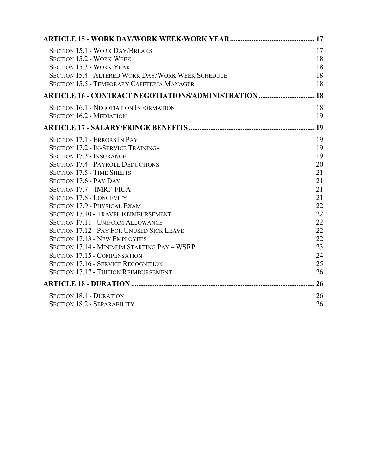| <b>SECTION 15.1 - WORK DAY/BREAKS</b>                     | 17   |
|-----------------------------------------------------------|------|
| <b>SECTION 15.2 - WORK WEEK</b>                           | 18   |
| <b>SECTION 15.3 - WORK YEAR</b>                           | 18   |
| <b>SECTION 15.4 - ALTERED WORK DAY/WORK WEEK SCHEDULE</b> | 18   |
| <b>SECTION 15.5 - TEMPORARY CAFETERIA MANAGER</b>         | 18   |
| <b>ARTICLE 16 - CONTRACT NEGOTIATIONS/ADMINISTRATION </b> | 18   |
| <b>SECTION 16.1 - NEGOTIATION INFORMATION</b>             | 18   |
| <b>SECTION 16.2 - MEDIATION</b>                           | 19   |
|                                                           | . 19 |
| <b>SECTION 17.1 - ERRORS IN PAY</b>                       | 19   |
| <b>SECTION 17.2 - IN-SERVICE TRAINING-</b>                | 19   |
| <b>SECTION 17.3 - INSURANCE</b>                           | 19   |
| <b>SECTION 17.4 - PAYROLL DEDUCTIONS</b>                  | 20   |
| <b>SECTION 17.5 - TIME SHEETS</b>                         | 21   |
| SECTION 17.6 - PAY DAY                                    | 21   |
| SECTION 17.7 - IMRF-FICA                                  | 21   |
| <b>SECTION 17.8 - LONGEVITY</b>                           | 21   |
| <b>SECTION 17.9 - PHYSICAL EXAM</b>                       | 22   |
| <b>SECTION 17.10 - TRAVEL REIMBURSEMENT</b>               | 22   |
| <b>SECTION 17.11 - UNIFORM ALLOWANCE</b>                  | 22   |
| <b>SECTION 17.12 - PAY FOR UNUSED SICK LEAVE</b>          | 22   |
| <b>SECTION 17.13 - NEW EMPLOYEES</b>                      | 22   |
| SECTION 17.14 - MINIMUM STARTING PAY - WSRP               | 23   |
| <b>SECTION 17.15 - COMPENSATION</b>                       | 24   |
| <b>SECTION 17.16 - SERVICE RECOGNITION</b>                | 25   |
| <b>SECTION 17.17 - TUITION REIMBURSEMENT</b>              | 26   |
|                                                           | 26   |
| <b>SECTION 18.1 - DURATION</b>                            | 26   |
| <b>SECTION 18.2 - SEPARABILITY</b>                        | 26   |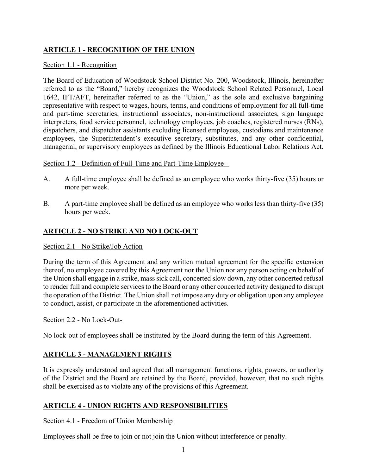# **ARTICLE 1 - RECOGNITION OF THE UNION**

### Section 1.1 - Recognition

The Board of Education of Woodstock School District No. 200, Woodstock, Illinois, hereinafter referred to as the "Board," hereby recognizes the Woodstock School Related Personnel, Local 1642, IFT/AFT, hereinafter referred to as the "Union," as the sole and exclusive bargaining representative with respect to wages, hours, terms, and conditions of employment for all full-time and part-time secretaries, instructional associates, non-instructional associates, sign language interpreters, food service personnel, technology employees, job coaches, registered nurses (RNs), dispatchers, and dispatcher assistants excluding licensed employees, custodians and maintenance employees, the Superintendent's executive secretary, substitutes, and any other confidential, managerial, or supervisory employees as defined by the Illinois Educational Labor Relations Act.

# Section 1.2 - Definition of Full-Time and Part-Time Employee--

- A. A full-time employee shall be defined as an employee who works thirty-five (35) hours or more per week.
- B. A part-time employee shall be defined as an employee who works less than thirty-five (35) hours per week.

# **ARTICLE 2 - NO STRIKE AND NO LOCK-OUT**

#### Section 2.1 - No Strike/Job Action

During the term of this Agreement and any written mutual agreement for the specific extension thereof, no employee covered by this Agreement nor the Union nor any person acting on behalf of the Union shall engage in a strike, mass sick call, concerted slow down, any other concerted refusal to render full and complete services to the Board or any other concerted activity designed to disrupt the operation of the District. The Union shall not impose any duty or obligation upon any employee to conduct, assist, or participate in the aforementioned activities.

#### Section 2.2 - No Lock-Out-

No lock-out of employees shall be instituted by the Board during the term of this Agreement.

# **ARTICLE 3 - MANAGEMENT RIGHTS**

It is expressly understood and agreed that all management functions, rights, powers, or authority of the District and the Board are retained by the Board, provided, however, that no such rights shall be exercised as to violate any of the provisions of this Agreement.

# **ARTICLE 4 - UNION RIGHTS AND RESPONSIBILITIES**

# Section 4.1 - Freedom of Union Membership

Employees shall be free to join or not join the Union without interference or penalty.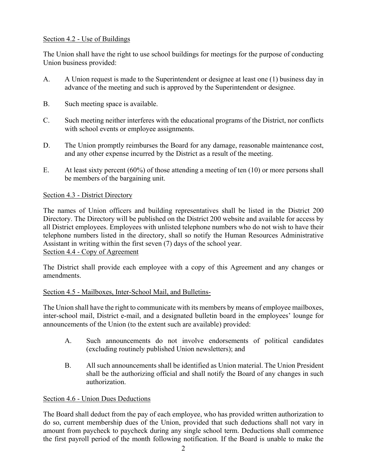# Section 4.2 - Use of Buildings

The Union shall have the right to use school buildings for meetings for the purpose of conducting Union business provided:

- A. A Union request is made to the Superintendent or designee at least one (1) business day in advance of the meeting and such is approved by the Superintendent or designee.
- B. Such meeting space is available.
- C. Such meeting neither interferes with the educational programs of the District, nor conflicts with school events or employee assignments.
- D. The Union promptly reimburses the Board for any damage, reasonable maintenance cost, and any other expense incurred by the District as a result of the meeting.
- E. At least sixty percent (60%) of those attending a meeting of ten (10) or more persons shall be members of the bargaining unit.

# Section 4.3 - District Directory

The names of Union officers and building representatives shall be listed in the District 200 Directory. The Directory will be published on the District 200 website and available for access by all District employees. Employees with unlisted telephone numbers who do not wish to have their telephone numbers listed in the directory, shall so notify the Human Resources Administrative Assistant in writing within the first seven (7) days of the school year. Section 4.4 - Copy of Agreement

The District shall provide each employee with a copy of this Agreement and any changes or amendments.

# Section 4.5 - Mailboxes, Inter-School Mail, and Bulletins-

The Union shall have the right to communicate with its members by means of employee mailboxes, inter-school mail, District e-mail, and a designated bulletin board in the employees' lounge for announcements of the Union (to the extent such are available) provided:

- A. Such announcements do not involve endorsements of political candidates (excluding routinely published Union newsletters); and
- B. All such announcements shall be identified as Union material. The Union President shall be the authorizing official and shall notify the Board of any changes in such authorization.

# Section 4.6 - Union Dues Deductions

The Board shall deduct from the pay of each employee, who has provided written authorization to do so, current membership dues of the Union, provided that such deductions shall not vary in amount from paycheck to paycheck during any single school term. Deductions shall commence the first payroll period of the month following notification. If the Board is unable to make the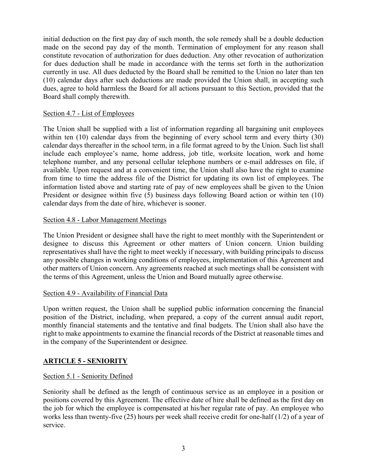initial deduction on the first pay day of such month, the sole remedy shall be a double deduction made on the second pay day of the month. Termination of employment for any reason shall constitute revocation of authorization for dues deduction. Any other revocation of authorization for dues deduction shall be made in accordance with the terms set forth in the authorization currently in use. All dues deducted by the Board shall be remitted to the Union no later than ten (10) calendar days after such deductions are made provided the Union shall, in accepting such dues, agree to hold harmless the Board for all actions pursuant to this Section, provided that the Board shall comply therewith.

# Section 4.7 - List of Employees

The Union shall be supplied with a list of information regarding all bargaining unit employees within ten (10) calendar days from the beginning of every school term and every thirty (30) calendar days thereafter in the school term, in a file format agreed to by the Union. Such list shall include each employee's name, home address, job title, worksite location, work and home telephone number, and any personal cellular telephone numbers or e-mail addresses on file, if available. Upon request and at a convenient time, the Union shall also have the right to examine from time to time the address file of the District for updating its own list of employees. The information listed above and starting rate of pay of new employees shall be given to the Union President or designee within five (5) business days following Board action or within ten (10) calendar days from the date of hire, whichever is sooner.

#### Section 4.8 - Labor Management Meetings

The Union President or designee shall have the right to meet monthly with the Superintendent or designee to discuss this Agreement or other matters of Union concern. Union building representatives shall have the right to meet weekly if necessary, with building principals to discuss any possible changes in working conditions of employees, implementation of this Agreement and other matters of Union concern. Any agreements reached at such meetings shall be consistent with the terms of this Agreement, unless the Union and Board mutually agree otherwise.

#### Section 4.9 - Availability of Financial Data

Upon written request, the Union shall be supplied public information concerning the financial position of the District, including, when prepared, a copy of the current annual audit report, monthly financial statements and the tentative and final budgets. The Union shall also have the right to make appointments to examine the financial records of the District at reasonable times and in the company of the Superintendent or designee.

# **ARTICLE 5 - SENIORITY**

#### Section 5.1 - Seniority Defined

Seniority shall be defined as the length of continuous service as an employee in a position or positions covered by this Agreement. The effective date of hire shall be defined as the first day on the job for which the employee is compensated at his/her regular rate of pay. An employee who works less than twenty-five (25) hours per week shall receive credit for one-half (1/2) of a year of service.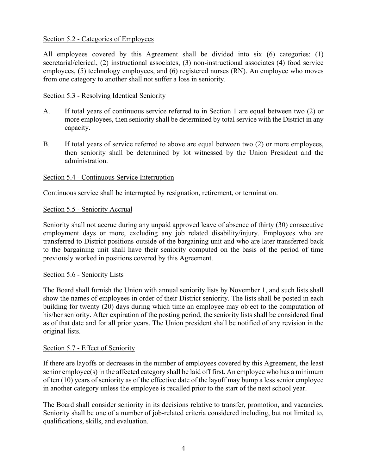# Section 5.2 - Categories of Employees

All employees covered by this Agreement shall be divided into six (6) categories: (1) secretarial/clerical, (2) instructional associates, (3) non-instructional associates (4) food service employees, (5) technology employees, and (6) registered nurses (RN). An employee who moves from one category to another shall not suffer a loss in seniority.

### Section 5.3 - Resolving Identical Seniority

- A. If total years of continuous service referred to in Section 1 are equal between two (2) or more employees, then seniority shall be determined by total service with the District in any capacity.
- B. If total years of service referred to above are equal between two (2) or more employees, then seniority shall be determined by lot witnessed by the Union President and the administration.

# Section 5.4 - Continuous Service Interruption

Continuous service shall be interrupted by resignation, retirement, or termination.

# Section 5.5 - Seniority Accrual

Seniority shall not accrue during any unpaid approved leave of absence of thirty (30) consecutive employment days or more, excluding any job related disability/injury. Employees who are transferred to District positions outside of the bargaining unit and who are later transferred back to the bargaining unit shall have their seniority computed on the basis of the period of time previously worked in positions covered by this Agreement.

#### Section 5.6 - Seniority Lists

The Board shall furnish the Union with annual seniority lists by November 1, and such lists shall show the names of employees in order of their District seniority. The lists shall be posted in each building for twenty (20) days during which time an employee may object to the computation of his/her seniority. After expiration of the posting period, the seniority lists shall be considered final as of that date and for all prior years. The Union president shall be notified of any revision in the original lists.

#### Section 5.7 - Effect of Seniority

If there are layoffs or decreases in the number of employees covered by this Agreement, the least senior employee(s) in the affected category shall be laid off first. An employee who has a minimum of ten (10) years of seniority as of the effective date of the layoff may bump a less senior employee in another category unless the employee is recalled prior to the start of the next school year.

The Board shall consider seniority in its decisions relative to transfer, promotion, and vacancies. Seniority shall be one of a number of job-related criteria considered including, but not limited to, qualifications, skills, and evaluation.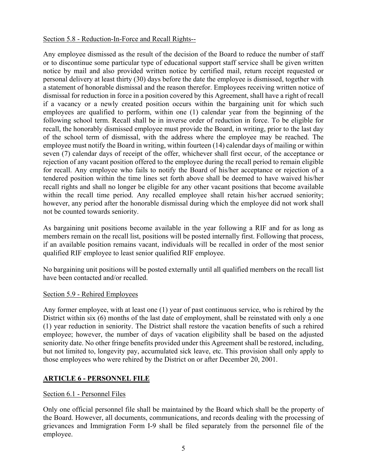# Section 5.8 - Reduction-In-Force and Recall Rights--

Any employee dismissed as the result of the decision of the Board to reduce the number of staff or to discontinue some particular type of educational support staff service shall be given written notice by mail and also provided written notice by certified mail, return receipt requested or personal delivery at least thirty (30) days before the date the employee is dismissed, together with a statement of honorable dismissal and the reason therefor. Employees receiving written notice of dismissal for reduction in force in a position covered by this Agreement, shall have a right of recall if a vacancy or a newly created position occurs within the bargaining unit for which such employees are qualified to perform, within one (1) calendar year from the beginning of the following school term. Recall shall be in inverse order of reduction in force. To be eligible for recall, the honorably dismissed employee must provide the Board, in writing, prior to the last day of the school term of dismissal, with the address where the employee may be reached. The employee must notify the Board in writing, within fourteen (14) calendar days of mailing or within seven (7) calendar days of receipt of the offer, whichever shall first occur, of the acceptance or rejection of any vacant position offered to the employee during the recall period to remain eligible for recall. Any employee who fails to notify the Board of his/her acceptance or rejection of a tendered position within the time lines set forth above shall be deemed to have waived his/her recall rights and shall no longer be eligible for any other vacant positions that become available within the recall time period. Any recalled employee shall retain his/her accrued seniority; however, any period after the honorable dismissal during which the employee did not work shall not be counted towards seniority.

As bargaining unit positions become available in the year following a RIF and for as long as members remain on the recall list, positions will be posted internally first. Following that process, if an available position remains vacant, individuals will be recalled in order of the most senior qualified RIF employee to least senior qualified RIF employee.

No bargaining unit positions will be posted externally until all qualified members on the recall list have been contacted and/or recalled.

# Section 5.9 - Rehired Employees

Any former employee, with at least one (1) year of past continuous service, who is rehired by the District within six (6) months of the last date of employment, shall be reinstated with only a one (1) year reduction in seniority. The District shall restore the vacation benefits of such a rehired employee; however, the number of days of vacation eligibility shall be based on the adjusted seniority date. No other fringe benefits provided under this Agreement shall be restored, including, but not limited to, longevity pay, accumulated sick leave, etc. This provision shall only apply to those employees who were rehired by the District on or after December 20, 2001.

# **ARTICLE 6 - PERSONNEL FILE**

# Section 6.1 - Personnel Files

Only one official personnel file shall be maintained by the Board which shall be the property of the Board. However, all documents, communications, and records dealing with the processing of grievances and Immigration Form I-9 shall be filed separately from the personnel file of the employee.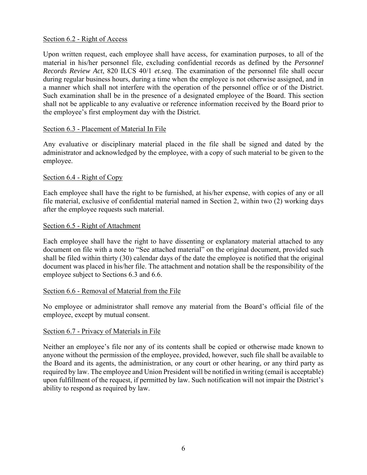### Section 6.2 - Right of Access

Upon written request, each employee shall have access, for examination purposes, to all of the material in his/her personnel file, excluding confidential records as defined by the *Personnel Records Review Act*, 820 ILCS 40/1 *et.seq*. The examination of the personnel file shall occur during regular business hours, during a time when the employee is not otherwise assigned, and in a manner which shall not interfere with the operation of the personnel office or of the District. Such examination shall be in the presence of a designated employee of the Board. This section shall not be applicable to any evaluative or reference information received by the Board prior to the employee's first employment day with the District.

# Section 6.3 - Placement of Material In File

Any evaluative or disciplinary material placed in the file shall be signed and dated by the administrator and acknowledged by the employee, with a copy of such material to be given to the employee.

# Section 6.4 - Right of Copy

Each employee shall have the right to be furnished, at his/her expense, with copies of any or all file material, exclusive of confidential material named in Section 2, within two (2) working days after the employee requests such material.

#### Section 6.5 - Right of Attachment

Each employee shall have the right to have dissenting or explanatory material attached to any document on file with a note to "See attached material" on the original document, provided such shall be filed within thirty (30) calendar days of the date the employee is notified that the original document was placed in his/her file. The attachment and notation shall be the responsibility of the employee subject to Sections 6.3 and 6.6.

#### Section 6.6 - Removal of Material from the File

No employee or administrator shall remove any material from the Board's official file of the employee, except by mutual consent.

#### Section 6.7 - Privacy of Materials in File

Neither an employee's file nor any of its contents shall be copied or otherwise made known to anyone without the permission of the employee, provided, however, such file shall be available to the Board and its agents, the administration, or any court or other hearing, or any third party as required by law. The employee and Union President will be notified in writing (email is acceptable) upon fulfillment of the request, if permitted by law. Such notification will not impair the District's ability to respond as required by law.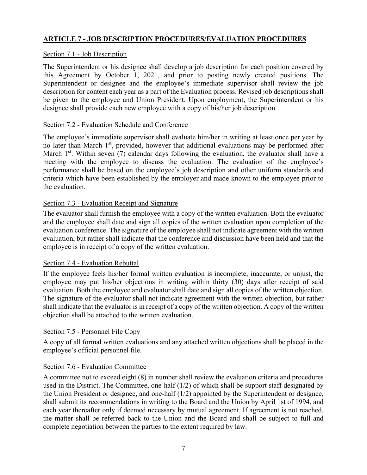# **ARTICLE 7 - JOB DESCRIPTION PROCEDURES/EVALUATION PROCEDURES**

# Section 7.1 - Job Description

The Superintendent or his designee shall develop a job description for each position covered by this Agreement by October 1, 2021, and prior to posting newly created positions. The Superintendent or designee and the employee's immediate supervisor shall review the job description for content each year as a part of the Evaluation process. Revised job descriptions shall be given to the employee and Union President. Upon employment, the Superintendent or his designee shall provide each new employee with a copy of his/her job description.

#### Section 7.2 - Evaluation Schedule and Conference

The employee's immediate supervisor shall evaluate him/her in writing at least once per year by no later than March 1st, provided, however that additional evaluations may be performed after March 1<sup>st</sup>. Within seven (7) calendar days following the evaluation, the evaluator shall have a meeting with the employee to discuss the evaluation. The evaluation of the employee's performance shall be based on the employee's job description and other uniform standards and criteria which have been established by the employer and made known to the employee prior to the evaluation.

# Section 7.3 - Evaluation Receipt and Signature

The evaluator shall furnish the employee with a copy of the written evaluation. Both the evaluator and the employee shall date and sign all copies of the written evaluation upon completion of the evaluation conference. The signature of the employee shall not indicate agreement with the written evaluation, but rather shall indicate that the conference and discussion have been held and that the employee is in receipt of a copy of the written evaluation.

#### Section 7.4 - Evaluation Rebuttal

If the employee feels his/her formal written evaluation is incomplete, inaccurate, or unjust, the employee may put his/her objections in writing within thirty (30) days after receipt of said evaluation. Both the employee and evaluator shall date and sign all copies of the written objection. The signature of the evaluator shall not indicate agreement with the written objection, but rather shall indicate that the evaluator is in receipt of a copy of the written objection. A copy of the written objection shall be attached to the written evaluation.

#### Section 7.5 - Personnel File Copy

A copy of all formal written evaluations and any attached written objections shall be placed in the employee's official personnel file.

# Section 7.6 - Evaluation Committee

A committee not to exceed eight (8) in number shall review the evaluation criteria and procedures used in the District. The Committee, one-half (1/2) of which shall be support staff designated by the Union President or designee, and one-half (1/2) appointed by the Superintendent or designee, shall submit its recommendations in writing to the Board and the Union by April 1st of 1994, and each year thereafter only if deemed necessary by mutual agreement. If agreement is not reached, the matter shall be referred back to the Union and the Board and shall be subject to full and complete negotiation between the parties to the extent required by law.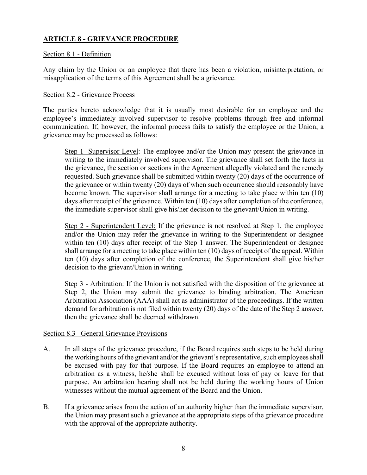# **ARTICLE 8 - GRIEVANCE PROCEDURE**

# Section 8.1 - Definition

Any claim by the Union or an employee that there has been a violation, misinterpretation, or misapplication of the terms of this Agreement shall be a grievance.

### Section 8.2 - Grievance Process

The parties hereto acknowledge that it is usually most desirable for an employee and the employee's immediately involved supervisor to resolve problems through free and informal communication. If, however, the informal process fails to satisfy the employee or the Union, a grievance may be processed as follows:

Step 1 -Supervisor Level: The employee and/or the Union may present the grievance in writing to the immediately involved supervisor. The grievance shall set forth the facts in the grievance, the section or sections in the Agreement allegedly violated and the remedy requested. Such grievance shall be submitted within twenty (20) days of the occurrence of the grievance or within twenty (20) days of when such occurrence should reasonably have become known. The supervisor shall arrange for a meeting to take place within ten (10) days after receipt of the grievance. Within ten (10) days after completion of the conference, the immediate supervisor shall give his/her decision to the grievant/Union in writing.

Step 2 - Superintendent Level: If the grievance is not resolved at Step 1, the employee and/or the Union may refer the grievance in writing to the Superintendent or designee within ten (10) days after receipt of the Step 1 answer. The Superintendent or designee shall arrange for a meeting to take place within ten (10) days of receipt of the appeal. Within ten (10) days after completion of the conference, the Superintendent shall give his/her decision to the grievant/Union in writing.

Step 3 - Arbitration: If the Union is not satisfied with the disposition of the grievance at Step 2, the Union may submit the grievance to binding arbitration. The American Arbitration Association (AAA) shall act as administrator of the proceedings. If the written demand for arbitration is not filed within twenty (20) days of the date of the Step 2 answer, then the grievance shall be deemed withdrawn.

# Section 8.3 –General Grievance Provisions

- A. In all steps of the grievance procedure, if the Board requires such steps to be held during the working hours of the grievant and/or the grievant's representative, such employees shall be excused with pay for that purpose. If the Board requires an employee to attend an arbitration as a witness, he/she shall be excused without loss of pay or leave for that purpose. An arbitration hearing shall not be held during the working hours of Union witnesses without the mutual agreement of the Board and the Union.
- B. If a grievance arises from the action of an authority higher than the immediate supervisor, the Union may present such a grievance at the appropriate steps of the grievance procedure with the approval of the appropriate authority.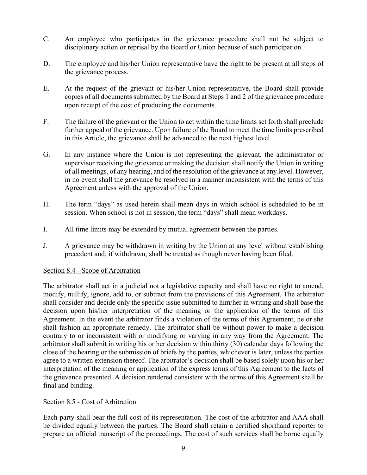- C. An employee who participates in the grievance procedure shall not be subject to disciplinary action or reprisal by the Board or Union because of such participation.
- D. The employee and his/her Union representative have the right to be present at all steps of the grievance process.
- E. At the request of the grievant or his/her Union representative, the Board shall provide copies of all documents submitted by the Board at Steps 1 and 2 of the grievance procedure upon receipt of the cost of producing the documents.
- F. The failure of the grievant or the Union to act within the time limits set forth shall preclude further appeal of the grievance. Upon failure of the Board to meet the time limits prescribed in this Article, the grievance shall be advanced to the next highest level.
- G. In any instance where the Union is not representing the grievant, the administrator or supervisor receiving the grievance or making the decision shall notify the Union in writing of all meetings, of any hearing, and of the resolution of the grievance at any level. However, in no event shall the grievance be resolved in a manner inconsistent with the terms of this Agreement unless with the approval of the Union.
- H. The term "days" as used herein shall mean days in which school is scheduled to be in session. When school is not in session, the term "days" shall mean workdays.
- I. All time limits may be extended by mutual agreement between the parties.
- J. A grievance may be withdrawn in writing by the Union at any level without establishing precedent and, if withdrawn, shall be treated as though never having been filed.

#### Section 8.4 - Scope of Arbitration

The arbitrator shall act in a judicial not a legislative capacity and shall have no right to amend, modify, nullify, ignore, add to, or subtract from the provisions of this Agreement. The arbitrator shall consider and decide only the specific issue submitted to him/her in writing and shall base the decision upon his/her interpretation of the meaning or the application of the terms of this Agreement. In the event the arbitrator finds a violation of the terms of this Agreement, he or she shall fashion an appropriate remedy. The arbitrator shall be without power to make a decision contrary to or inconsistent with or modifying or varying in any way from the Agreement. The arbitrator shall submit in writing his or her decision within thirty (30) calendar days following the close of the hearing or the submission of briefs by the parties, whichever is later, unless the parties agree to a written extension thereof. The arbitrator's decision shall be based solely upon his or her interpretation of the meaning or application of the express terms of this Agreement to the facts of the grievance presented. A decision rendered consistent with the terms of this Agreement shall be final and binding.

# Section 8.5 - Cost of Arbitration

Each party shall bear the full cost of its representation. The cost of the arbitrator and AAA shall be divided equally between the parties. The Board shall retain a certified shorthand reporter to prepare an official transcript of the proceedings. The cost of such services shall be borne equally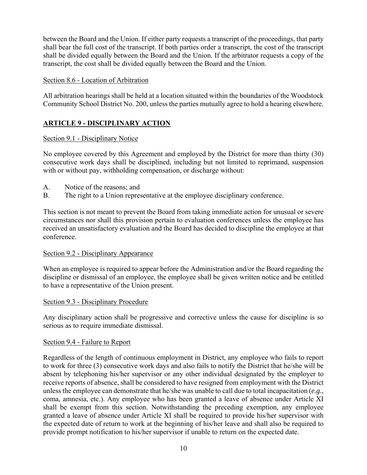between the Board and the Union. If either party requests a transcript of the proceedings, that party shall bear the full cost of the transcript. If both parties order a transcript, the cost of the transcript shall be divided equally between the Board and the Union. If the arbitrator requests a copy of the transcript, the cost shall be divided equally between the Board and the Union.

# Section 8.6 - Location of Arbitration

All arbitration hearings shall be held at a location situated within the boundaries of the Woodstock Community School District No. 200, unless the parties mutually agree to hold a hearing elsewhere.

# **ARTICLE 9 - DISCIPLINARY ACTION**

# Section 9.1 - Disciplinary Notice

No employee covered by this Agreement and employed by the District for more than thirty (30) consecutive work days shall be disciplined, including but not limited to reprimand, suspension with or without pay, withholding compensation, or discharge without:

- A. Notice of the reasons; and
- B. The right to a Union representative at the employee disciplinary conference.

This section is not meant to prevent the Board from taking immediate action for unusual or severe circumstances nor shall this provision pertain to evaluation conferences unless the employee has received an unsatisfactory evaluation and the Board has decided to discipline the employee at that conference.

#### Section 9.2 - Disciplinary Appearance

When an employee is required to appear before the Administration and/or the Board regarding the discipline or dismissal of an employee, the employee shall be given written notice and be entitled to have a representative of the Union present.

#### Section 9.3 - Disciplinary Procedure

Any disciplinary action shall be progressive and corrective unless the cause for discipline is so serious as to require immediate dismissal.

#### Section 9.4 - Failure to Report

Regardless of the length of continuous employment in District, any employee who fails to report to work for three (3) consecutive work days and also fails to notify the District that he/she will be absent by telephoning his/her supervisor or any other individual designated by the employer to receive reports of absence, shall be considered to have resigned from employment with the District unless the employee can demonstrate that he/she was unable to call due to total incapacitation (*e.g.,* coma, amnesia, etc.). Any employee who has been granted a leave of absence under Article XI shall be exempt from this section. Notwithstanding the preceding exemption, any employee granted a leave of absence under Article XI shall be required to provide his/her supervisor with the expected date of return to work at the beginning of his/her leave and shall also be required to provide prompt notification to his/her supervisor if unable to return on the expected date.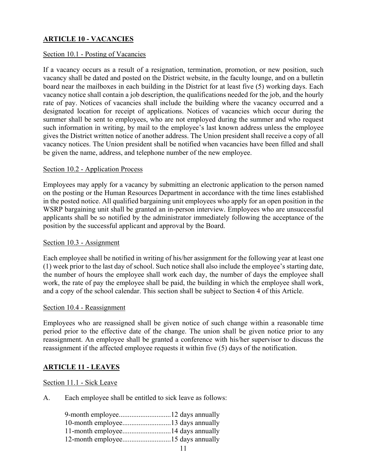# **ARTICLE 10 - VACANCIES**

#### Section 10.1 - Posting of Vacancies

If a vacancy occurs as a result of a resignation, termination, promotion, or new position, such vacancy shall be dated and posted on the District website, in the faculty lounge, and on a bulletin board near the mailboxes in each building in the District for at least five (5) working days. Each vacancy notice shall contain a job description, the qualifications needed for the job, and the hourly rate of pay. Notices of vacancies shall include the building where the vacancy occurred and a designated location for receipt of applications. Notices of vacancies which occur during the summer shall be sent to employees, who are not employed during the summer and who request such information in writing, by mail to the employee's last known address unless the employee gives the District written notice of another address. The Union president shall receive a copy of all vacancy notices. The Union president shall be notified when vacancies have been filled and shall be given the name, address, and telephone number of the new employee.

#### Section 10.2 - Application Process

Employees may apply for a vacancy by submitting an electronic application to the person named on the posting or the Human Resources Department in accordance with the time lines established in the posted notice. All qualified bargaining unit employees who apply for an open position in the WSRP bargaining unit shall be granted an in-person interview. Employees who are unsuccessful applicants shall be so notified by the administrator immediately following the acceptance of the position by the successful applicant and approval by the Board.

#### Section 10.3 - Assignment

Each employee shall be notified in writing of his/her assignment for the following year at least one (1) week prior to the last day of school. Such notice shall also include the employee's starting date, the number of hours the employee shall work each day, the number of days the employee shall work, the rate of pay the employee shall be paid, the building in which the employee shall work, and a copy of the school calendar. This section shall be subject to Section 4 of this Article.

#### Section 10.4 - Reassignment

Employees who are reassigned shall be given notice of such change within a reasonable time period prior to the effective date of the change. The union shall be given notice prior to any reassignment. An employee shall be granted a conference with his/her supervisor to discuss the reassignment if the affected employee requests it within five (5) days of the notification.

#### **ARTICLE 11 - LEAVES**

#### Section 11.1 - Sick Leave

A. Each employee shall be entitled to sick leave as follows: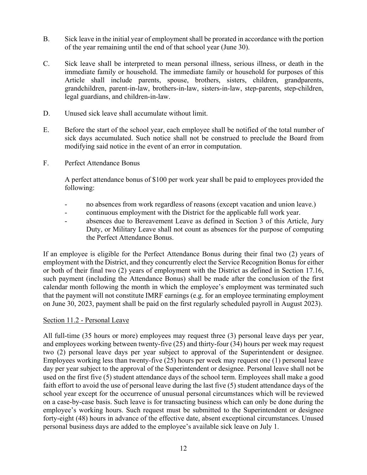- B. Sick leave in the initial year of employment shall be prorated in accordance with the portion of the year remaining until the end of that school year (June 30).
- C. Sick leave shall be interpreted to mean personal illness, serious illness, or death in the immediate family or household. The immediate family or household for purposes of this Article shall include parents, spouse, brothers, sisters, children, grandparents, grandchildren, parent-in-law, brothers-in-law, sisters-in-law, step-parents, step-children, legal guardians, and children-in-law.
- D. Unused sick leave shall accumulate without limit.
- E. Before the start of the school year, each employee shall be notified of the total number of sick days accumulated. Such notice shall not be construed to preclude the Board from modifying said notice in the event of an error in computation.
- F. Perfect Attendance Bonus

A perfect attendance bonus of \$100 per work year shall be paid to employees provided the following:

- no absences from work regardless of reasons (except vacation and union leave.)
- continuous employment with the District for the applicable full work year.
- absences due to Bereavement Leave as defined in Section 3 of this Article, Jury Duty, or Military Leave shall not count as absences for the purpose of computing the Perfect Attendance Bonus.

If an employee is eligible for the Perfect Attendance Bonus during their final two (2) years of employment with the District, and they concurrently elect the Service Recognition Bonus for either or both of their final two (2) years of employment with the District as defined in Section 17.16, such payment (including the Attendance Bonus) shall be made after the conclusion of the first calendar month following the month in which the employee's employment was terminated such that the payment will not constitute IMRF earnings (e.g. for an employee terminating employment on June 30, 2023, payment shall be paid on the first regularly scheduled payroll in August 2023).

#### Section 11.2 - Personal Leave

All full-time (35 hours or more) employees may request three (3) personal leave days per year, and employees working between twenty-five (25) and thirty-four (34) hours per week may request two (2) personal leave days per year subject to approval of the Superintendent or designee. Employees working less than twenty-five (25) hours per week may request one (1) personal leave day per year subject to the approval of the Superintendent or designee. Personal leave shall not be used on the first five (5) student attendance days of the school term. Employees shall make a good faith effort to avoid the use of personal leave during the last five (5) student attendance days of the school year except for the occurrence of unusual personal circumstances which will be reviewed on a case-by-case basis. Such leave is for transacting business which can only be done during the employee's working hours. Such request must be submitted to the Superintendent or designee forty-eight (48) hours in advance of the effective date, absent exceptional circumstances. Unused personal business days are added to the employee's available sick leave on July 1.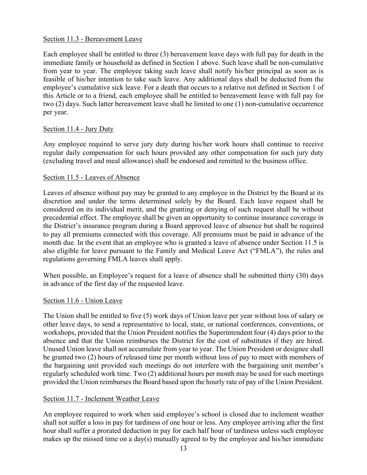#### Section 11.3 - Bereavement Leave

Each employee shall be entitled to three (3) bereavement leave days with full pay for death in the immediate family or household as defined in Section 1 above. Such leave shall be non-cumulative from year to year. The employee taking such leave shall notify his/her principal as soon as is feasible of his/her intention to take such leave. Any additional days shall be deducted from the employee's cumulative sick leave. For a death that occurs to a relative not defined in Section 1 of this Article or to a friend, each employee shall be entitled to bereavement leave with full pay for two (2) days. Such latter bereavement leave shall be limited to one (1) non-cumulative occurrence per year.

# Section 11.4 - Jury Duty

Any employee required to serve jury duty during his/her work hours shall continue to receive regular daily compensation for such hours provided any other compensation for such jury duty (excluding travel and meal allowance) shall be endorsed and remitted to the business office.

#### Section 11.5 - Leaves of Absence

Leaves of absence without pay may be granted to any employee in the District by the Board at its discretion and under the terms determined solely by the Board. Each leave request shall be considered on its individual merit, and the granting or denying of such request shall be without precedential effect. The employee shall be given an opportunity to continue insurance coverage in the District's insurance program during a Board approved leave of absence but shall be required to pay all premiums connected with this coverage. All premiums must be paid in advance of the month due. In the event that an employee who is granted a leave of absence under Section 11.5 is also eligible for leave pursuant to the Family and Medical Leave Act ("FMLA"), the rules and regulations governing FMLA leaves shall apply.

When possible, an Employee's request for a leave of absence shall be submitted thirty (30) days in advance of the first day of the requested leave.

#### Section 11.6 - Union Leave

The Union shall be entitled to five (5) work days of Union leave per year without loss of salary or other leave days, to send a representative to local, state, or national conferences, conventions, or workshops, provided that the Union President notifies the Superintendent four (4) days prior to the absence and that the Union reimburses the District for the cost of substitutes if they are hired. Unused Union leave shall not accumulate from year to year. The Union President or designee shall be granted two (2) hours of released time per month without loss of pay to meet with members of the bargaining unit provided such meetings do not interfere with the bargaining unit member's regularly scheduled work time. Two (2) additional hours per month may be used for such meetings provided the Union reimburses the Board based upon the hourly rate of pay of the Union President.

#### Section 11.7 - Inclement Weather Leave

An employee required to work when said employee's school is closed due to inclement weather shall not suffer a loss in pay for tardiness of one hour or less. Any employee arriving after the first hour shall suffer a prorated deduction in pay for each half hour of tardiness unless such employee makes up the missed time on a day(s) mutually agreed to by the employee and his/her immediate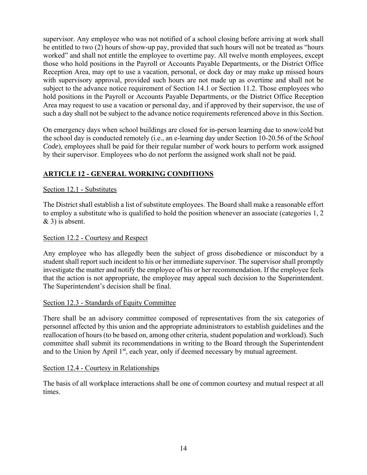supervisor. Any employee who was not notified of a school closing before arriving at work shall be entitled to two (2) hours of show-up pay, provided that such hours will not be treated as "hours worked" and shall not entitle the employee to overtime pay. All twelve month employees, except those who hold positions in the Payroll or Accounts Payable Departments, or the District Office Reception Area, may opt to use a vacation, personal, or dock day or may make up missed hours with supervisory approval, provided such hours are not made up as overtime and shall not be subject to the advance notice requirement of Section 14.1 or Section 11.2. Those employees who hold positions in the Payroll or Accounts Payable Departments, or the District Office Reception Area may request to use a vacation or personal day, and if approved by their supervisor, the use of such a day shall not be subject to the advance notice requirements referenced above in this Section.

On emergency days when school buildings are closed for in-person learning due to snow/cold but the school day is conducted remotely (i.e., an e-learning day under Section 10-20.56 of the *School Code*), employees shall be paid for their regular number of work hours to perform work assigned by their supervisor. Employees who do not perform the assigned work shall not be paid.

# **ARTICLE 12 - GENERAL WORKING CONDITIONS**

# Section 12.1 - Substitutes

The District shall establish a list of substitute employees. The Board shall make a reasonable effort to employ a substitute who is qualified to hold the position whenever an associate (categories 1, 2 & 3) is absent.

#### Section 12.2 - Courtesy and Respect

Any employee who has allegedly been the subject of gross disobedience or misconduct by a student shall report such incident to his or her immediate supervisor. The supervisor shall promptly investigate the matter and notify the employee of his or her recommendation. If the employee feels that the action is not appropriate, the employee may appeal such decision to the Superintendent. The Superintendent's decision shall be final.

#### Section 12.3 - Standards of Equity Committee

There shall be an advisory committee composed of representatives from the six categories of personnel affected by this union and the appropriate administrators to establish guidelines and the reallocation of hours (to be based on, among other criteria, student population and workload). Such committee shall submit its recommendations in writing to the Board through the Superintendent and to the Union by April 1<sup>st</sup>, each year, only if deemed necessary by mutual agreement.

#### Section 12.4 - Courtesy in Relationships

The basis of all workplace interactions shall be one of common courtesy and mutual respect at all times.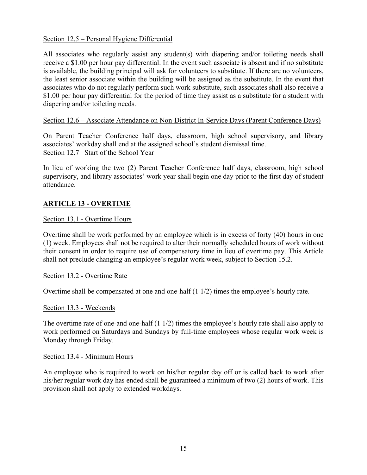# Section 12.5 – Personal Hygiene Differential

All associates who regularly assist any student(s) with diapering and/or toileting needs shall receive a \$1.00 per hour pay differential. In the event such associate is absent and if no substitute is available, the building principal will ask for volunteers to substitute. If there are no volunteers, the least senior associate within the building will be assigned as the substitute. In the event that associates who do not regularly perform such work substitute, such associates shall also receive a \$1.00 per hour pay differential for the period of time they assist as a substitute for a student with diapering and/or toileting needs.

# Section 12.6 – Associate Attendance on Non-District In-Service Days (Parent Conference Days)

On Parent Teacher Conference half days, classroom, high school supervisory, and library associates' workday shall end at the assigned school's student dismissal time. Section 12.7 –Start of the School Year

In lieu of working the two (2) Parent Teacher Conference half days, classroom, high school supervisory, and library associates' work year shall begin one day prior to the first day of student attendance.

# **ARTICLE 13 - OVERTIME**

# Section 13.1 - Overtime Hours

Overtime shall be work performed by an employee which is in excess of forty (40) hours in one (1) week. Employees shall not be required to alter their normally scheduled hours of work without their consent in order to require use of compensatory time in lieu of overtime pay. This Article shall not preclude changing an employee's regular work week, subject to Section 15.2.

#### Section 13.2 - Overtime Rate

Overtime shall be compensated at one and one-half (1 1/2) times the employee's hourly rate.

#### Section 13.3 - Weekends

The overtime rate of one-and one-half (1 1/2) times the employee's hourly rate shall also apply to work performed on Saturdays and Sundays by full-time employees whose regular work week is Monday through Friday.

#### Section 13.4 - Minimum Hours

An employee who is required to work on his/her regular day off or is called back to work after his/her regular work day has ended shall be guaranteed a minimum of two (2) hours of work. This provision shall not apply to extended workdays.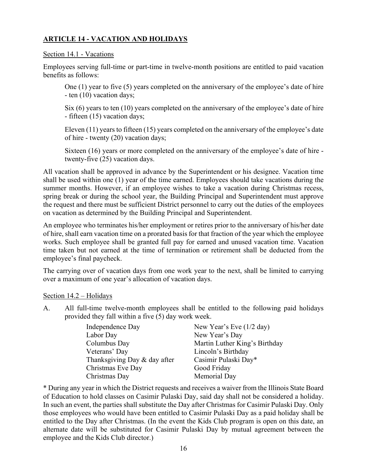# **ARTICLE 14 - VACATION AND HOLIDAYS**

#### Section 14.1 - Vacations

Employees serving full-time or part-time in twelve-month positions are entitled to paid vacation benefits as follows:

One (1) year to five (5) years completed on the anniversary of the employee's date of hire - ten (10) vacation days;

Six (6) years to ten (10) years completed on the anniversary of the employee's date of hire - fifteen (15) vacation days;

Eleven (11) years to fifteen (15) years completed on the anniversary of the employee's date of hire - twenty (20) vacation days;

Sixteen (16) years or more completed on the anniversary of the employee's date of hire twenty-five (25) vacation days.

All vacation shall be approved in advance by the Superintendent or his designee. Vacation time shall be used within one (1) year of the time earned. Employees should take vacations during the summer months. However, if an employee wishes to take a vacation during Christmas recess, spring break or during the school year, the Building Principal and Superintendent must approve the request and there must be sufficient District personnel to carry out the duties of the employees on vacation as determined by the Building Principal and Superintendent.

An employee who terminates his/her employment or retires prior to the anniversary of his/her date of hire, shall earn vacation time on a prorated basis for that fraction of the year which the employee works. Such employee shall be granted full pay for earned and unused vacation time. Vacation time taken but not earned at the time of termination or retirement shall be deducted from the employee's final paycheck.

The carrying over of vacation days from one work year to the next, shall be limited to carrying over a maximum of one year's allocation of vacation days.

Section 14.2 – Holidays

A. All full-time twelve-month employees shall be entitled to the following paid holidays provided they fall within a five (5) day work week.

| Independence Day             | New Year's Eve $(1/2 \text{ day})$ |
|------------------------------|------------------------------------|
| Labor Day                    | New Year's Day                     |
| Columbus Day                 | Martin Luther King's Birthday      |
| Veterans' Day                | Lincoln's Birthday                 |
| Thanksgiving Day & day after | Casimir Pulaski Day*               |
| Christmas Eve Day            | Good Friday                        |
| Christmas Day                | Memorial Day                       |

\* During any year in which the District requests and receives a waiver from the Illinois State Board of Education to hold classes on Casimir Pulaski Day, said day shall not be considered a holiday. In such an event, the parties shall substitute the Day after Christmas for Casimir Pulaski Day. Only those employees who would have been entitled to Casimir Pulaski Day as a paid holiday shall be entitled to the Day after Christmas. (In the event the Kids Club program is open on this date, an alternate date will be substituted for Casimir Pulaski Day by mutual agreement between the employee and the Kids Club director.)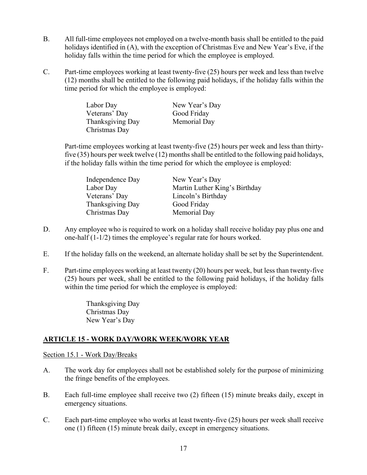- B. All full-time employees not employed on a twelve-month basis shall be entitled to the paid holidays identified in (A), with the exception of Christmas Eve and New Year's Eve, if the holiday falls within the time period for which the employee is employed.
- C. Part-time employees working at least twenty-five (25) hours per week and less than twelve (12) months shall be entitled to the following paid holidays, if the holiday falls within the time period for which the employee is employed:

| Labor Day        | New Year's Day |
|------------------|----------------|
| Veterans' Day    | Good Friday    |
| Thanksgiving Day | Memorial Day   |
| Christmas Day    |                |

Part-time employees working at least twenty-five (25) hours per week and less than thirtyfive (35) hours per week twelve (12) months shall be entitled to the following paid holidays, if the holiday falls within the time period for which the employee is employed:

| Independence Day | New Year's Day                |
|------------------|-------------------------------|
| Labor Day        | Martin Luther King's Birthday |
| Veterans' Day    | Lincoln's Birthday            |
| Thanksgiving Day | Good Friday                   |
| Christmas Day    | Memorial Day                  |

- D. Any employee who is required to work on a holiday shall receive holiday pay plus one and one-half (1-1/2) times the employee's regular rate for hours worked.
- E. If the holiday falls on the weekend, an alternate holiday shall be set by the Superintendent.
- F. Part-time employees working at least twenty (20) hours per week, but less than twenty-five (25) hours per week, shall be entitled to the following paid holidays, if the holiday falls within the time period for which the employee is employed:

 Thanksgiving Day Christmas Day New Year's Day

# **ARTICLE 15 - WORK DAY/WORK WEEK/WORK YEAR**

Section 15.1 - Work Day/Breaks

- A. The work day for employees shall not be established solely for the purpose of minimizing the fringe benefits of the employees.
- B. Each full-time employee shall receive two (2) fifteen (15) minute breaks daily, except in emergency situations.
- C. Each part-time employee who works at least twenty-five (25) hours per week shall receive one (1) fifteen (15) minute break daily, except in emergency situations.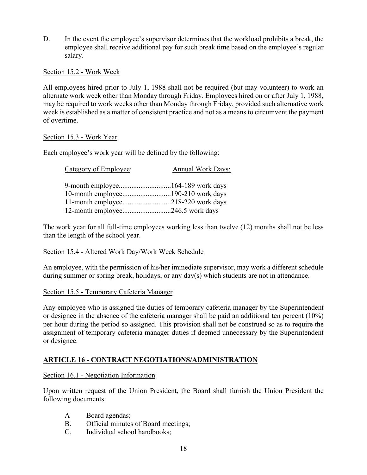D. In the event the employee's supervisor determines that the workload prohibits a break, the employee shall receive additional pay for such break time based on the employee's regular salary.

Section 15.2 - Work Week

All employees hired prior to July 1, 1988 shall not be required (but may volunteer) to work an alternate work week other than Monday through Friday. Employees hired on or after July 1, 1988, may be required to work weeks other than Monday through Friday, provided such alternative work week is established as a matter of consistent practice and not as a means to circumvent the payment of overtime.

# Section 15.3 - Work Year

Each employee's work year will be defined by the following:

| Category of Employee:              | <b>Annual Work Days:</b> |
|------------------------------------|--------------------------|
|                                    |                          |
|                                    |                          |
| 11-month employee218-220 work days |                          |
|                                    |                          |

The work year for all full-time employees working less than twelve (12) months shall not be less than the length of the school year.

#### Section 15.4 - Altered Work Day/Work Week Schedule

An employee, with the permission of his/her immediate supervisor, may work a different schedule during summer or spring break, holidays, or any day(s) which students are not in attendance.

#### Section 15.5 - Temporary Cafeteria Manager

Any employee who is assigned the duties of temporary cafeteria manager by the Superintendent or designee in the absence of the cafeteria manager shall be paid an additional ten percent (10%) per hour during the period so assigned. This provision shall not be construed so as to require the assignment of temporary cafeteria manager duties if deemed unnecessary by the Superintendent or designee.

# **ARTICLE 16 - CONTRACT NEGOTIATIONS/ADMINISTRATION**

#### Section 16.1 - Negotiation Information

Upon written request of the Union President, the Board shall furnish the Union President the following documents:

- A Board agendas;
- B. Official minutes of Board meetings;
- C. Individual school handbooks;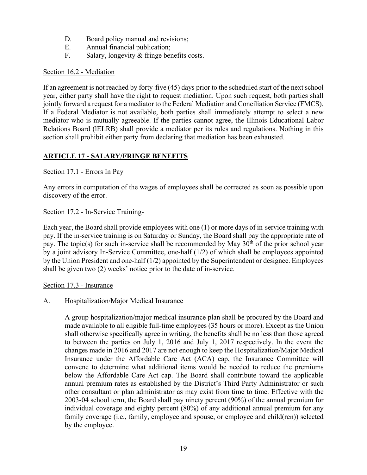- D. Board policy manual and revisions;
- E. Annual financial publication;
- F. Salary, longevity & fringe benefits costs.

# Section 16.2 - Mediation

If an agreement is not reached by forty-five (45) days prior to the scheduled start of the next school year, either party shall have the right to request mediation. Upon such request, both parties shall jointly forward a request for a mediator to the Federal Mediation and Conciliation Service (FMCS). If a Federal Mediator is not available, both parties shall immediately attempt to select a new mediator who is mutually agreeable. If the parties cannot agree, the Illinois Educational Labor Relations Board (lELRB) shall provide a mediator per its rules and regulations. Nothing in this section shall prohibit either party from declaring that mediation has been exhausted.

# **ARTICLE 17 - SALARY/FRINGE BENEFITS**

# Section 17.1 - Errors In Pay

Any errors in computation of the wages of employees shall be corrected as soon as possible upon discovery of the error.

# Section 17.2 - In-Service Training-

Each year, the Board shall provide employees with one (1) or more days of in-service training with pay. If the in-service training is on Saturday or Sunday, the Board shall pay the appropriate rate of pay. The topic(s) for such in-service shall be recommended by May  $30<sup>th</sup>$  of the prior school year by a joint advisory In-Service Committee, one-half (1/2) of which shall be employees appointed by the Union President and one-half (1/2) appointed by the Superintendent or designee. Employees shall be given two (2) weeks' notice prior to the date of in-service.

Section 17.3 - Insurance

# A. Hospitalization/Major Medical Insurance

A group hospitalization/major medical insurance plan shall be procured by the Board and made available to all eligible full-time employees (35 hours or more). Except as the Union shall otherwise specifically agree in writing, the benefits shall be no less than those agreed to between the parties on July 1, 2016 and July 1, 2017 respectively. In the event the changes made in 2016 and 2017 are not enough to keep the Hospitalization/Major Medical Insurance under the Affordable Care Act (ACA) cap, the Insurance Committee will convene to determine what additional items would be needed to reduce the premiums below the Affordable Care Act cap. The Board shall contribute toward the applicable annual premium rates as established by the District's Third Party Administrator or such other consultant or plan administrator as may exist from time to time. Effective with the 2003-04 school term, the Board shall pay ninety percent (90%) of the annual premium for individual coverage and eighty percent (80%) of any additional annual premium for any family coverage (i.e., family, employee and spouse, or employee and child(ren)) selected by the employee.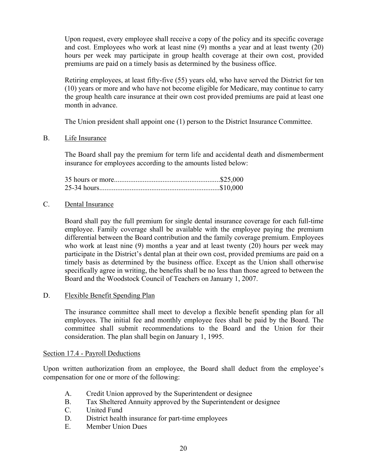Upon request, every employee shall receive a copy of the policy and its specific coverage and cost. Employees who work at least nine (9) months a year and at least twenty (20) hours per week may participate in group health coverage at their own cost, provided premiums are paid on a timely basis as determined by the business office.

Retiring employees, at least fifty-five (55) years old, who have served the District for ten (10) years or more and who have not become eligible for Medicare, may continue to carry the group health care insurance at their own cost provided premiums are paid at least one month in advance.

The Union president shall appoint one (1) person to the District Insurance Committee.

B. Life Insurance

The Board shall pay the premium for term life and accidental death and dismemberment insurance for employees according to the amounts listed below:

#### C. Dental Insurance

Board shall pay the full premium for single dental insurance coverage for each full-time employee. Family coverage shall be available with the employee paying the premium differential between the Board contribution and the family coverage premium. Employees who work at least nine (9) months a year and at least twenty (20) hours per week may participate in the District's dental plan at their own cost, provided premiums are paid on a timely basis as determined by the business office. Except as the Union shall otherwise specifically agree in writing, the benefits shall be no less than those agreed to between the Board and the Woodstock Council of Teachers on January 1, 2007.

# D. Flexible Benefit Spending Plan

The insurance committee shall meet to develop a flexible benefit spending plan for all employees. The initial fee and monthly employee fees shall be paid by the Board. The committee shall submit recommendations to the Board and the Union for their consideration. The plan shall begin on January 1, 1995.

#### Section 17.4 - Payroll Deductions

Upon written authorization from an employee, the Board shall deduct from the employee's compensation for one or more of the following:

- A. Credit Union approved by the Superintendent or designee
- B. Tax Sheltered Annuity approved by the Superintendent or designee
- C. United Fund
- D. District health insurance for part-time employees
- E. Member Union Dues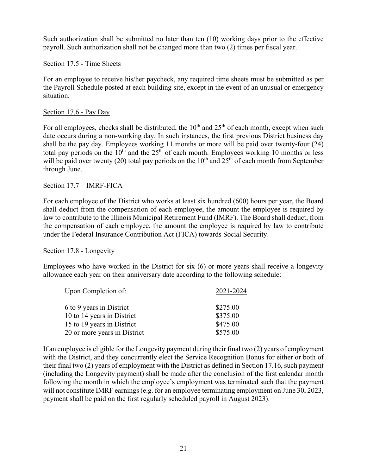Such authorization shall be submitted no later than ten (10) working days prior to the effective payroll. Such authorization shall not be changed more than two (2) times per fiscal year.

#### Section 17.5 - Time Sheets

For an employee to receive his/her paycheck, any required time sheets must be submitted as per the Payroll Schedule posted at each building site, except in the event of an unusual or emergency situation.

# Section 17.6 - Pay Day

For all employees, checks shall be distributed, the  $10<sup>th</sup>$  and  $25<sup>th</sup>$  of each month, except when such date occurs during a non-working day. In such instances, the first previous District business day shall be the pay day. Employees working 11 months or more will be paid over twenty-four (24) total pay periods on the  $10<sup>th</sup>$  and the 25<sup>th</sup> of each month. Employees working 10 months or less will be paid over twenty (20) total pay periods on the  $10<sup>th</sup>$  and  $25<sup>th</sup>$  of each month from September through June.

#### Section 17.7 – IMRF-FICA

For each employee of the District who works at least six hundred (600) hours per year, the Board shall deduct from the compensation of each employee, the amount the employee is required by law to contribute to the Illinois Municipal Retirement Fund (IMRF). The Board shall deduct, from the compensation of each employee, the amount the employee is required by law to contribute under the Federal Insurance Contribution Act (FICA) towards Social Security.

#### Section 17.8 - Longevity

Employees who have worked in the District for six (6) or more years shall receive a longevity allowance each year on their anniversary date according to the following schedule:

| Upon Completion of:          | 2021-2024 |
|------------------------------|-----------|
| 6 to 9 years in District     | \$275.00  |
| 10 to 14 years in District   | \$375.00  |
| 15 to 19 years in District   | \$475.00  |
| 20 or more years in District | \$575.00  |

If an employee is eligible for the Longevity payment during their final two (2) years of employment with the District, and they concurrently elect the Service Recognition Bonus for either or both of their final two (2) years of employment with the District as defined in Section 17.16, such payment (including the Longevity payment) shall be made after the conclusion of the first calendar month following the month in which the employee's employment was terminated such that the payment will not constitute IMRF earnings (e.g. for an employee terminating employment on June 30, 2023, payment shall be paid on the first regularly scheduled payroll in August 2023).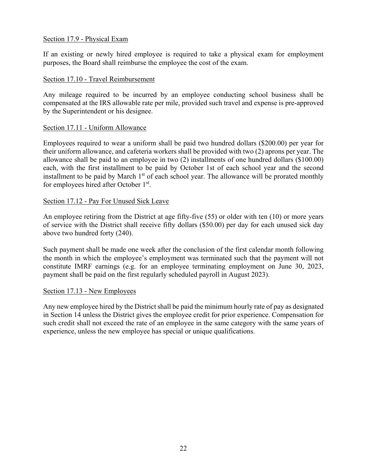# Section 17.9 - Physical Exam

If an existing or newly hired employee is required to take a physical exam for employment purposes, the Board shall reimburse the employee the cost of the exam.

### Section 17.10 - Travel Reimbursement

Any mileage required to be incurred by an employee conducting school business shall be compensated at the IRS allowable rate per mile, provided such travel and expense is pre-approved by the Superintendent or his designee.

# Section 17.11 - Uniform Allowance

Employees required to wear a uniform shall be paid two hundred dollars (\$200.00) per year for their uniform allowance, and cafeteria workers shall be provided with two (2) aprons per year. The allowance shall be paid to an employee in two (2) installments of one hundred dollars (\$100.00) each, with the first installment to be paid by October 1st of each school year and the second installment to be paid by March 1<sup>st</sup> of each school year. The allowance will be prorated monthly for employees hired after October 1st.

# Section 17.12 - Pay For Unused Sick Leave

An employee retiring from the District at age fifty-five (55) or older with ten (10) or more years of service with the District shall receive fifty dollars (\$50.00) per day for each unused sick day above two hundred forty (240).

Such payment shall be made one week after the conclusion of the first calendar month following the month in which the employee's employment was terminated such that the payment will not constitute IMRF earnings (e.g. for an employee terminating employment on June 30, 2023, payment shall be paid on the first regularly scheduled payroll in August 2023).

#### Section 17.13 - New Employees

Any new employee hired by the District shall be paid the minimum hourly rate of pay as designated in Section 14 unless the District gives the employee credit for prior experience. Compensation for such credit shall not exceed the rate of an employee in the same category with the same years of experience, unless the new employee has special or unique qualifications.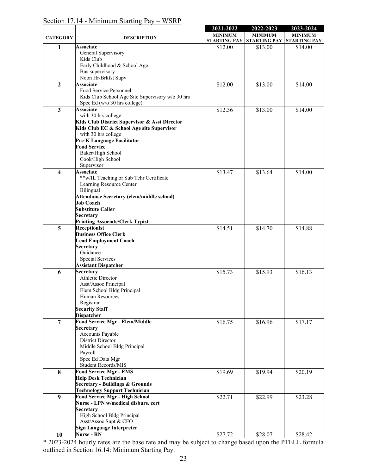|                 |                                                       | 2021-2022      | 2022-2023                              | 2023-2024      |
|-----------------|-------------------------------------------------------|----------------|----------------------------------------|----------------|
| <b>CATEGORY</b> | <b>DESCRIPTION</b>                                    | <b>MINIMUM</b> | <b>MINIMUM</b>                         | <b>MINIMUM</b> |
|                 |                                                       |                | STARTING PAY STARTING PAY STARTING PAY |                |
| 1               | <b>Associate</b><br>General Supervisory               | \$12.00        | \$13.00                                | \$14.00        |
|                 | Kids Club<br>Early Childhood & School Age             |                |                                        |                |
|                 | Bus supervisory                                       |                |                                        |                |
|                 | Noon Hr/Brkfst Supv                                   |                |                                        |                |
| $\mathbf{2}$    | <b>Associate</b>                                      | \$12.00        | \$13.00                                | \$14.00        |
|                 | Food Service Personnel                                |                |                                        |                |
|                 | Kids Club School Age Site Supervisory w/o 30 hrs      |                |                                        |                |
|                 | Spec Ed (w/o 30 hrs college)                          |                |                                        |                |
| 3               | <b>Associate</b>                                      | \$12.36        | \$13.00                                | \$14.00        |
|                 | with 30 hrs college                                   |                |                                        |                |
|                 | Kids Club District Supervisor & Asst Director         |                |                                        |                |
|                 | Kids Club EC & School Age site Supervisor             |                |                                        |                |
|                 | with 30 hrs college<br>Pre-K Language Facilitator     |                |                                        |                |
|                 | <b>Food Service</b>                                   |                |                                        |                |
|                 | Baker/High School                                     |                |                                        |                |
|                 | Cook/High School                                      |                |                                        |                |
|                 | Supervisor                                            |                |                                        |                |
| 4               | <b>Associate</b>                                      | \$13.47        | \$13.64                                | \$14.00        |
|                 | **w/IL Teaching or Sub Tchr Certificate               |                |                                        |                |
|                 | Learning Resource Center                              |                |                                        |                |
|                 | Bilingual                                             |                |                                        |                |
|                 | Attendance Secretary (elem/middle school)             |                |                                        |                |
|                 | <b>Job Coach</b>                                      |                |                                        |                |
|                 | <b>Substitute Caller</b>                              |                |                                        |                |
|                 | <b>Secretary</b>                                      |                |                                        |                |
|                 | <b>Printing Associate/Clerk Typist</b>                |                |                                        |                |
| 5               | Receptionist                                          | \$14.51        | \$14.70                                | \$14.88        |
|                 | <b>Business Office Clerk</b>                          |                |                                        |                |
|                 | <b>Lead Employment Coach</b><br>Secretary             |                |                                        |                |
|                 | Guidance                                              |                |                                        |                |
|                 | Special Services                                      |                |                                        |                |
|                 | <b>Assistant Dispatcher</b>                           |                |                                        |                |
| 6               | <b>Secretary</b>                                      | \$15.73        | \$15.93                                | \$16.13        |
|                 | Athletic Director                                     |                |                                        |                |
|                 | Asst/Assoc Principal                                  |                |                                        |                |
|                 | Elem School Bldg Principal                            |                |                                        |                |
|                 | Human Resources                                       |                |                                        |                |
|                 | Registrar                                             |                |                                        |                |
|                 | <b>Security Staff</b>                                 |                |                                        |                |
|                 | <b>Dispatcher</b>                                     |                |                                        |                |
| $\overline{7}$  | <b>Food Service Mgr - Elem/Middle</b>                 | \$16.75        | \$16.96                                | \$17.17        |
|                 | Secretary<br>Accounts Payable                         |                |                                        |                |
|                 | District Director                                     |                |                                        |                |
|                 | Middle School Bldg Principal                          |                |                                        |                |
|                 | Payroll                                               |                |                                        |                |
|                 | Spec Ed Data Mgr                                      |                |                                        |                |
|                 | Student Records/MIS                                   |                |                                        |                |
| 8               | <b>Food Service Mgr - EMS</b>                         | \$19.69        | \$19.94                                | \$20.19        |
|                 | <b>Help Desk Technician</b>                           |                |                                        |                |
|                 | <b>Secretary - Buildings &amp; Grounds</b>            |                |                                        |                |
|                 | <b>Technology Support Technician</b>                  |                |                                        |                |
| 9               | <b>Food Service Mgr - High School</b>                 | \$22.71        | \$22.99                                | \$23.28        |
|                 | Nurse - LPN w/medical disburs. cert                   |                |                                        |                |
|                 | <b>Secretary</b>                                      |                |                                        |                |
|                 | High School Bldg Principal                            |                |                                        |                |
|                 | Asst/Assoc Supt & CFO                                 |                |                                        |                |
|                 | <b>Sign Language Interpreter</b><br><b>Nurse - RN</b> |                |                                        |                |
| 10              |                                                       | \$27.72        | \$28.07                                | \$28.42        |

Section 17.14 - Minimum Starting Pay – WSRP

\* 2023-2024 hourly rates are the base rate and may be subject to change based upon the PTELL formula outlined in Section 16.14: Minimum Starting Pay.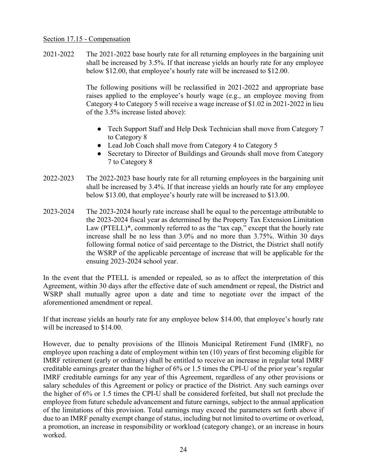### Section 17.15 - Compensation

2021-2022 The 2021-2022 base hourly rate for all returning employees in the bargaining unit shall be increased by 3.5%. If that increase yields an hourly rate for any employee below \$12.00, that employee's hourly rate will be increased to \$12.00.

> The following positions will be reclassified in 2021-2022 and appropriate base raises applied to the employee's hourly wage (e.g., an employee moving from Category 4 to Category 5 will receive a wage increase of \$1.02 in 2021-2022 in lieu of the 3.5% increase listed above):

- Tech Support Staff and Help Desk Technician shall move from Category 7 to Category 8
- Lead Job Coach shall move from Category 4 to Category 5
- Secretary to Director of Buildings and Grounds shall move from Category 7 to Category 8
- 2022-2023 The 2022-2023 base hourly rate for all returning employees in the bargaining unit shall be increased by 3.4%. If that increase yields an hourly rate for any employee below \$13.00, that employee's hourly rate will be increased to \$13.00.
- 2023-2024 The 2023-2024 hourly rate increase shall be equal to the percentage attributable to the 2023-2024 fiscal year as determined by the Property Tax Extension Limitation Law (PTELL)\*, commonly referred to as the "tax cap," except that the hourly rate increase shall be no less than 3.0% and no more than 3.75%. Within 30 days following formal notice of said percentage to the District, the District shall notify the WSRP of the applicable percentage of increase that will be applicable for the ensuing 2023-2024 school year.

In the event that the PTELL is amended or repealed, so as to affect the interpretation of this Agreement, within 30 days after the effective date of such amendment or repeal, the District and WSRP shall mutually agree upon a date and time to negotiate over the impact of the aforementioned amendment or repeal.

If that increase yields an hourly rate for any employee below \$14.00, that employee's hourly rate will be increased to \$14.00.

However, due to penalty provisions of the Illinois Municipal Retirement Fund (IMRF), no employee upon reaching a date of employment within ten (10) years of first becoming eligible for IMRF retirement (early or ordinary) shall be entitled to receive an increase in regular total IMRF creditable earnings greater than the higher of 6% or 1.5 times the CPI-U of the prior year's regular IMRF creditable earnings for any year of this Agreement, regardless of any other provisions or salary schedules of this Agreement or policy or practice of the District. Any such earnings over the higher of 6% or 1.5 times the CPI-U shall be considered forfeited, but shall not preclude the employee from future schedule advancement and future earnings, subject to the annual application of the limitations of this provision. Total earnings may exceed the parameters set forth above if due to an IMRF penalty exempt change of status, including but not limited to overtime or overload, a promotion, an increase in responsibility or workload (category change), or an increase in hours worked.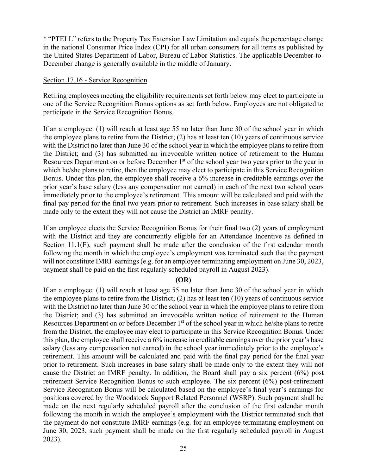\* "PTELL" refers to the Property Tax Extension Law Limitation and equals the percentage change in the national Consumer Price Index (CPI) for all urban consumers for all items as published by the United States Department of Labor, Bureau of Labor Statistics. The applicable December-to-December change is generally available in the middle of January.

#### Section 17.16 - Service Recognition

Retiring employees meeting the eligibility requirements set forth below may elect to participate in one of the Service Recognition Bonus options as set forth below. Employees are not obligated to participate in the Service Recognition Bonus.

If an a employee: (1) will reach at least age 55 no later than June 30 of the school year in which the employee plans to retire from the District; (2) has at least ten (10) years of continuous service with the District no later than June 30 of the school year in which the employee plans to retire from the District; and (3) has submitted an irrevocable written notice of retirement to the Human Resources Department on or before December 1<sup>st</sup> of the school year two years prior to the year in which he/she plans to retire, then the employee may elect to participate in this Service Recognition Bonus. Under this plan, the employee shall receive a 6% increase in creditable earnings over the prior year's base salary (less any compensation not earned) in each of the next two school years immediately prior to the employee's retirement. This amount will be calculated and paid with the final pay period for the final two years prior to retirement. Such increases in base salary shall be made only to the extent they will not cause the District an IMRF penalty.

If an employee elects the Service Recognition Bonus for their final two (2) years of employment with the District and they are concurrently eligible for an Attendance Incentive as defined in Section 11.1(F), such payment shall be made after the conclusion of the first calendar month following the month in which the employee's employment was terminated such that the payment will not constitute IMRF earnings (e.g. for an employee terminating employment on June 30, 2023, payment shall be paid on the first regularly scheduled payroll in August 2023).

#### **(OR)**

If an a employee: (1) will reach at least age 55 no later than June 30 of the school year in which the employee plans to retire from the District; (2) has at least ten (10) years of continuous service with the District no later than June 30 of the school year in which the employee plans to retire from the District; and (3) has submitted an irrevocable written notice of retirement to the Human Resources Department on or before December 1<sup>st</sup> of the school year in which he/she plans to retire from the District, the employee may elect to participate in this Service Recognition Bonus. Under this plan, the employee shall receive a 6% increase in creditable earnings over the prior year's base salary (less any compensation not earned) in the school year immediately prior to the employee's retirement. This amount will be calculated and paid with the final pay period for the final year prior to retirement. Such increases in base salary shall be made only to the extent they will not cause the District an IMRF penalty. In addition, the Board shall pay a six percent (6%) post retirement Service Recognition Bonus to such employee. The six percent (6%) post-retirement Service Recognition Bonus will be calculated based on the employee's final year's earnings for positions covered by the Woodstock Support Related Personnel (WSRP). Such payment shall be made on the next regularly scheduled payroll after the conclusion of the first calendar month following the month in which the employee's employment with the District terminated such that the payment do not constitute IMRF earnings (e.g. for an employee terminating employment on June 30, 2023, such payment shall be made on the first regularly scheduled payroll in August 2023).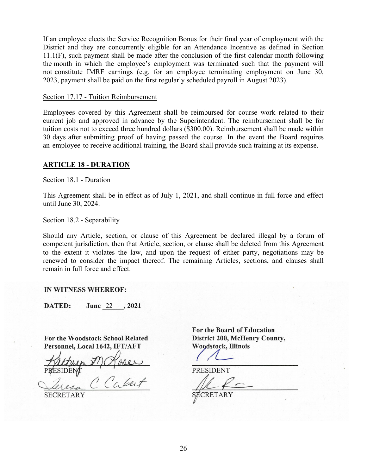If an employee elects the Service Recognition Bonus for their final year of employment with the District and they are concurrently eligible for an Attendance Incentive as defined in Section 11.1(F), such payment shall be made after the conclusion of the first calendar month following the month in which the employee's employment was terminated such that the payment will not constitute IMRF earnings (e.g. for an employee terminating employment on June 30, 2023, payment shall be paid on the first regularly scheduled payroll in August 2023).

#### Section 17.17 - Tuition Reimbursement

Employees covered by this Agreement shall be reimbursed for course work related to their current job and approved in advance by the Superintendent. The reimbursement shall be for tuition costs not to exceed three hundred dollars (\$300.00). Reimbursement shall be made within 30 days after submitting proof of having passed the course. In the event the Board requires an employee to receive additional training, the Board shall provide such training at its expense.

#### **ARTICLE 18 - DURATION**

#### Section 18.1 - Duration

This Agreement shall be in effect as of July 1, 2021, and shall continue in full force and effect until June 30, 2024.

#### Section 18.2 - Separability

Should any Article, section, or clause of this Agreement be declared illegal by a forum of competent jurisdiction, then that Article, section, or clause shall be deleted from this Agreement to the extent it violates the law, and upon the request of either party, negotiations may be renewed to consider the impact thereof. The remaining Articles, sections, and clauses shall remain in full force and effect.

#### **IN WITNESS WHEREOF:**

June 22, 2021 **DATED:** 

For the Woodstock School Related Personnel, Local 1642, IFT/AFT

**SECRETARY** 

For the Board of Education District 200, McHenry County, Woodstock, Illinois

**PRESIDENT** 

**RETARY**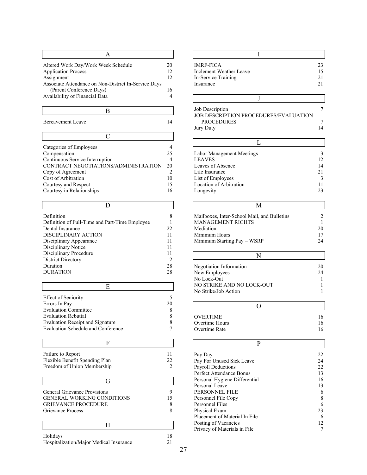| 20 |
|----|
| 12 |
| 12 |
|    |
| 16 |
|    |
|    |

| <b>Bereavement Leave</b> |  |
|--------------------------|--|

 $\Gamma$ 

| Categories of Employees              |    |
|--------------------------------------|----|
| Compensation                         | 25 |
| Continuous Service Interruption      |    |
| CONTRACT NEGOTIATIONS/ADMINISTRATION | 20 |
| Copy of Agreement                    |    |
| Cost of Arbitration                  | 10 |
| Courtesy and Respect                 | 15 |
| Courtesy in Relationships            | 16 |

| Definition                                     |    |
|------------------------------------------------|----|
| Definition of Full-Time and Part-Time Employee |    |
| Dental Insurance                               | 22 |
| DISCIPLINARY ACTION                            | 11 |
| Disciplinary Appearance                        | 11 |
| Disciplinary Notice                            | 11 |
| Disciplinary Procedure                         | 11 |
| District Directory                             |    |
| Duration                                       | 28 |
| <b>DURATION</b>                                | 28 |

| <b>Effect of Seniority</b>              |    |
|-----------------------------------------|----|
| Errors In Pay                           | 20 |
| <b>Evaluation Committee</b>             | 8  |
| <b>Evaluation Rebuttal</b>              |    |
| <b>Evaluation Receipt and Signature</b> |    |
| Evaluation Schedule and Conference      |    |

| Failure to Report<br>Flexible Benefit Spending Plan | 22 |
|-----------------------------------------------------|----|
| Freedom of Union Membership                         |    |
| G                                                   |    |
|                                                     |    |
| General Grievance Provisions                        |    |
| <b>GENERAL WORKING CONDITIONS</b>                   | 15 |
| <b>GRIEVANCE PROCEDURE</b>                          |    |

| Holidays                                | 18 |
|-----------------------------------------|----|
| Hospitalization/Major Medical Insurance | 21 |

| <b>IMRF-FICA</b>        | 23 |
|-------------------------|----|
| Inclement Weather Leave | 15 |
| In-Service Training     | 21 |
| Insurance               | 21 |

| Job Description<br>JOB DESCRIPTION PROCEDURES/EVALUATION |  |
|----------------------------------------------------------|--|
| <b>PROCEDURES</b>                                        |  |
| <b>Jury Duty</b>                                         |  |

| Labor Management Meetings |    |
|---------------------------|----|
| <b>LEAVES</b>             | 12 |
| Leaves of Absence         | 14 |
| Life Insurance            | 21 |
| List of Employees         |    |
| Location of Arbitration   |    |
| Longevity                 | つっ |
|                           |    |

| M                                           |    |
|---------------------------------------------|----|
| Mailboxes, Inter-School Mail, and Bulletins |    |
| <b>MANAGEMENT RIGHTS</b>                    |    |
| Mediation                                   | 20 |
| Minimum Hours                               |    |
| Minimum Starting Pay – WSRP                 | 24 |

| Negotiation Information   | 20 |
|---------------------------|----|
| New Employees             | 24 |
| No Lock-Out               |    |
| NO STRIKE AND NO LOCK-OUT |    |
| No Strike/Job Action      |    |
|                           |    |

| <b>OVERTIME</b> |    |
|-----------------|----|
| Overtime Hours  | 16 |
| Overtime Rate   |    |

| Pay Day                       | 22 |
|-------------------------------|----|
| Pay For Unused Sick Leave     | 24 |
| Payroll Deductions            | 22 |
| Perfect Attendance Bonus      | 13 |
| Personal Hygiene Differential | 16 |
| Personal Leave                | 13 |
| PERSONNEL FILE                | 6  |
| Personnel File Copy           | 8  |
| Personnel Files               | 6  |
| Physical Exam                 | 23 |
| Placement of Material In File | 6  |
| Posting of Vacancies          | 12 |
| Privacy of Materials in File  |    |